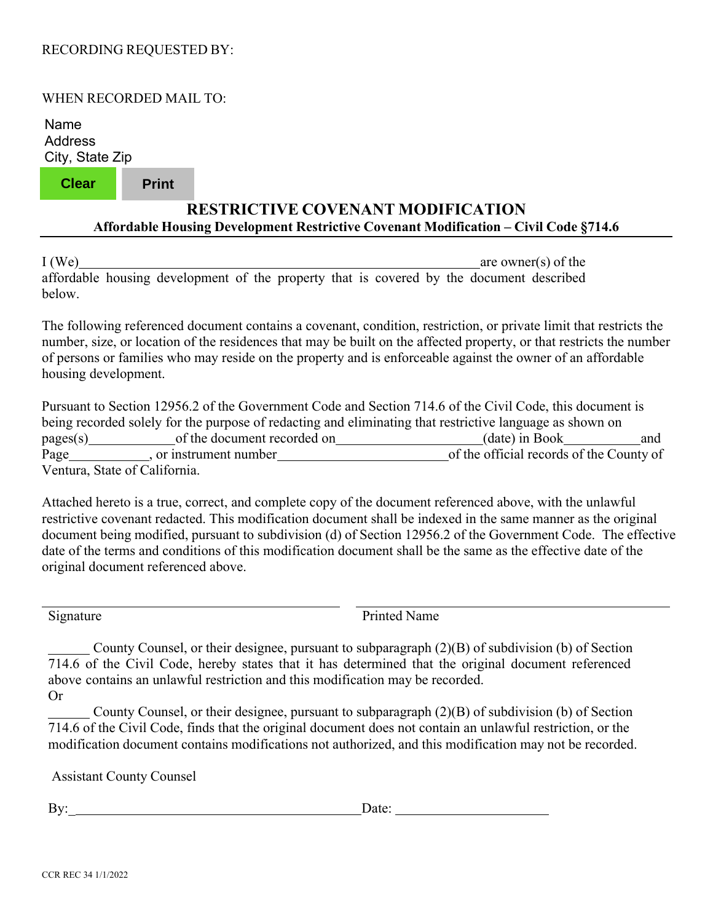## RECORDING REQUESTED BY:

## WHEN RECORDED MAIL TO:

Name Address City, State Zip

**Clear Print**

## **RESTRICTIVE COVENANT MODIFICATION Affordable Housing Development Restrictive Covenant Modification – Civil Code §714.6**

I (We) are owner(s) of the affordable housing development of the property that is covered by the document described below.

The following referenced document contains a covenant, condition, restriction, or private limit that restricts the number, size, or location of the residences that may be built on the affected property, or that restricts the number of persons or families who may reside on the property and is enforceable against the owner of an affordable housing development.

Pursuant to Section 12956.2 of the Government Code and Section 714.6 of the Civil Code, this document is being recorded solely for the purpose of redacting and eliminating that restrictive language as shown on pages(s) of the document recorded on (date) in Book and Page , or instrument number of the official records of the County of Ventura, State of California.

Attached hereto is a true, correct, and complete copy of the document referenced above, with the unlawful restrictive covenant redacted. This modification document shall be indexed in the same manner as the original document being modified, pursuant to subdivision (d) of Section 12956.2 of the Government Code. The effective date of the terms and conditions of this modification document shall be the same as the effective date of the original document referenced above.

Signature Printed Name

 County Counsel, or their designee, pursuant to subparagraph (2)(B) of subdivision (b) of Section 714.6 of the Civil Code, hereby states that it has determined that the original document referenced above contains an unlawful restriction and this modification may be recorded. Or

 County Counsel, or their designee, pursuant to subparagraph (2)(B) of subdivision (b) of Section 714.6 of the Civil Code, finds that the original document does not contain an unlawful restriction, or the modification document contains modifications not authorized, and this modification may not be recorded.

Assistant County Counsel

By: Date: Date: